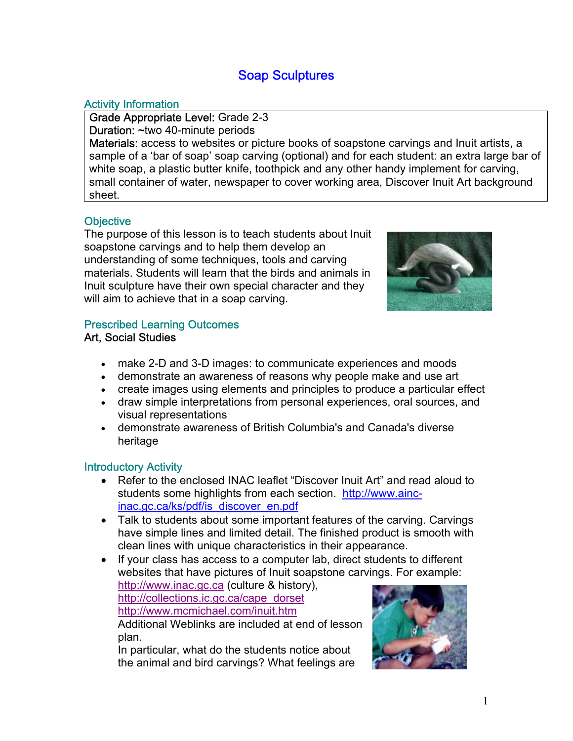## Soap Sculptures

## Activity Information

Grade Appropriate Level: Grade 2-3 Duration: ~two 40-minute periods

Materials: access to websites or picture books of soapstone carvings and Inuit artists, a sample of a 'bar of soap' soap carving (optional) and for each student: an extra large bar of white soap, a plastic butter knife, toothpick and any other handy implement for carving, small container of water, newspaper to cover working area, Discover Inuit Art background sheet.

## **Objective**

The purpose of this lesson is to teach students about Inuit soapstone carvings and to help them develop an understanding of some techniques, tools and carving materials. Students will learn that the birds and animals in Inuit sculpture have their own special character and they will aim to achieve that in a soap carving.



#### Prescribed Learning Outcomes Art, Social Studies

- make 2-D and 3-D images: to communicate experiences and moods
- demonstrate an awareness of reasons why people make and use art
- create images using elements and principles to produce a particular effect
- draw simple interpretations from personal experiences, oral sources, and visual representations
- demonstrate awareness of British Columbia's and Canada's diverse heritage

### Introductory Activity

- Refer to the enclosed INAC leaflet "Discover Inuit Art" and read aloud to [students some highlights from each section. http://www.ainc](http://www.aincinac.gc.ca/ks/pdf/is_discover_en.pdf)inac.gc.ca/ks/pdf/is\_discover\_en.pdf
- Talk to students about some important features of the carving. Carvings have simple lines and limited detail. The finished product is smooth with clean lines with unique characteristics in their appearance.
- If your class has access to a computer lab, direct students to different websites that have pictures of Inuit soapstone carvings. For example:

<http://www.inac.gc.ca> (culture & history), [http://collections.ic.gc.ca/cape\\_dorset](http://collections.ic.gc.ca/cape_dorset) <http://www.mcmichael.com/inuit.htm> Additional Weblinks are included at end of lesson

plan. In particular, what do the students notice about the animal and bird carvings? What feelings are

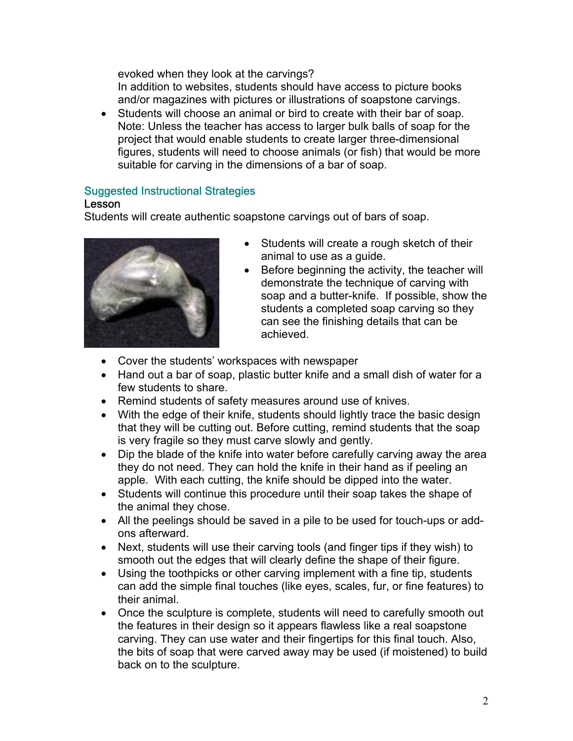evoked when they look at the carvings? In addition to websites, students should have access to picture books and/or magazines with pictures or illustrations of soapstone carvings.

• Students will choose an animal or bird to create with their bar of soap. Note: Unless the teacher has access to larger bulk balls of soap for the project that would enable students to create larger three-dimensional figures, students will need to choose animals (or fish) that would be more suitable for carving in the dimensions of a bar of soap.

## Suggested Instructional Strategies

#### Lesson

Students will create authentic soapstone carvings out of bars of soap.



- Students will create a rough sketch of their animal to use as a guide.
- Before beginning the activity, the teacher will demonstrate the technique of carving with soap and a butter-knife. If possible, show the students a completed soap carving so they can see the finishing details that can be achieved.
- Cover the students' workspaces with newspaper
- Hand out a bar of soap, plastic butter knife and a small dish of water for a few students to share.
- Remind students of safety measures around use of knives.
- With the edge of their knife, students should lightly trace the basic design that they will be cutting out. Before cutting, remind students that the soap is very fragile so they must carve slowly and gently.
- Dip the blade of the knife into water before carefully carving away the area they do not need. They can hold the knife in their hand as if peeling an apple. With each cutting, the knife should be dipped into the water.
- Students will continue this procedure until their soap takes the shape of the animal they chose.
- All the peelings should be saved in a pile to be used for touch-ups or addons afterward.
- Next, students will use their carving tools (and finger tips if they wish) to smooth out the edges that will clearly define the shape of their figure.
- Using the toothpicks or other carving implement with a fine tip, students can add the simple final touches (like eyes, scales, fur, or fine features) to their animal.
- Once the sculpture is complete, students will need to carefully smooth out the features in their design so it appears flawless like a real soapstone carving. They can use water and their fingertips for this final touch. Also, the bits of soap that were carved away may be used (if moistened) to build back on to the sculpture.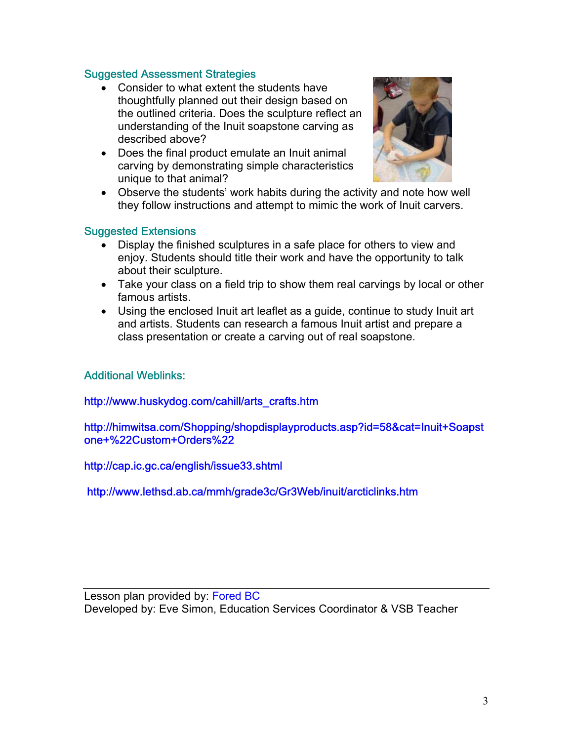#### Suggested Assessment Strategies

- Consider to what extent the students have thoughtfully planned out their design based on the outlined criteria. Does the sculpture reflect an understanding of the Inuit soapstone carving as described above?
- Does the final product emulate an Inuit animal carving by demonstrating simple characteristics unique to that animal?



• Observe the students' work habits during the activity and note how well they follow instructions and attempt to mimic the work of Inuit carvers.

#### Suggested Extensions

- Display the finished sculptures in a safe place for others to view and enjoy. Students should title their work and have the opportunity to talk about their sculpture.
- Take your class on a field trip to show them real carvings by local or other famous artists.
- Using the enclosed Inuit art leaflet as a guide, continue to study Inuit art and artists. Students can research a famous Inuit artist and prepare a class presentation or create a carving out of real soapstone.

### Additional Weblinks:

#### [http://www.huskydog.com/cahill/arts\\_crafts.htm](http://www.huskydog.com/cahill/arts_crafts.htm)

<http://himwitsa.com/Shopping/shopdisplayproducts.asp?id=58&cat=Inuit+Soapst> one+%22Custom+Orders%22

<http://cap.ic.gc.ca/english/issue33.shtml>

<http://www.lethsd.ab.ca/mmh/grade3c/Gr3Web/inuit/arcticlinks.htm>

Lesson plan provided by: Fored BC Developed by: Eve Simon, Education Services Coordinator & VSB Teacher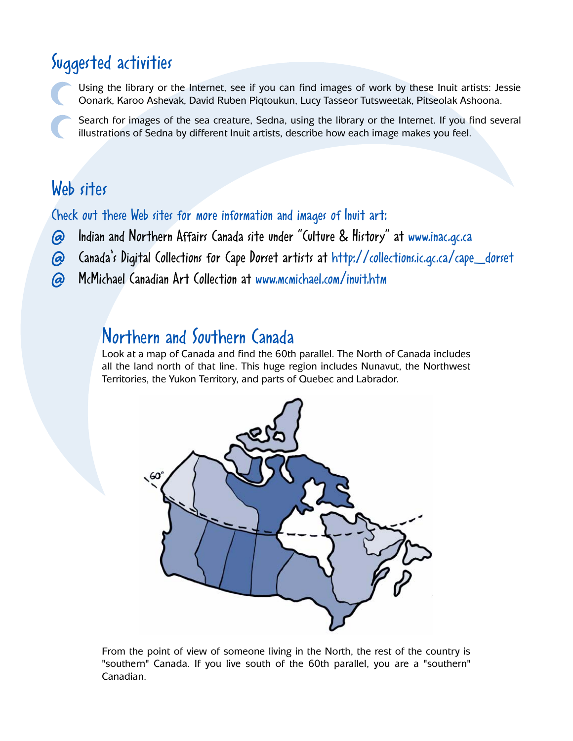## Suggested activities

Using the library or the Internet, see if you can find images of work by these Inuit artists: Jessie Oonark, Karoo Ashevak, David Ruben Piqtoukun, Lucy Tasseor Tutsweetak, Pitseolak Ashoona.

Search for images of the sea creature, Sedna, using the library or the Internet. If you find several illustrations of Sedna by different Inuit artists, describe how each image makes you feel.

## Web sites

Check out these Web sites for more information and images of Inuit art:

- @ Indian and Northern Affairs Canada site under "Culture & History" at www.inac.gc.ca
- @ Canada's Digital Collections for Cape Dorset artists at [http://collections.ic.gc.ca/cape\\_dorset](http://collections.ic.gc.ca/cape_dorset)
- @ McMichael Canadian Art Collection at www.mcmichael.com/inuit.htm

## Northern and Southern Canada

Look at a map of Canada and find the 60th parallel. The North of Canada includes all the land north of that line. This huge region includes Nunavut, the Northwest Territories, the Yukon Territory, and parts of Quebec and Labrador.



From the point of view of someone living in the North, the rest of the country is "southern" Canada. If you live south of the 60th parallel, you are a "southern" Canadian.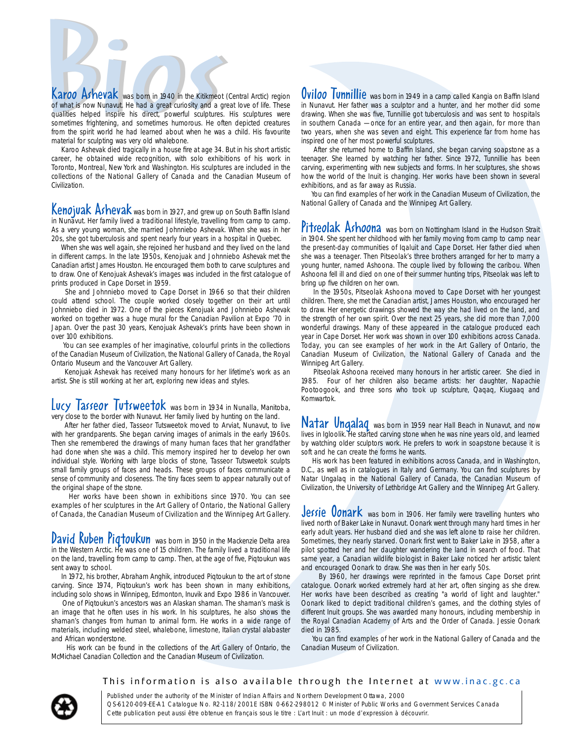**Example 18 Set the Set of Set of Set of Set of Set of Set of Set of Set of Set of Set of Set of Set of Set of Set of Set of Set of Set of Set of Set of Set of Set of Set of Set of Set of Set of Set of Set of Set of Set of Example 19 Ashevak** was born in 1940 in the Kitikmeot (Central Arctic) region<br>of what is now Nunavut. He had a great curiosity and a great love of life. These<br>qualities helped inspire his direct, powerful sculptures. His Karoo Ashevak was born in 1940 in the Kitikmeot (Central Arctic) region<br>of what is now Nunavut. He had a great curiosity and a great love of life. These qualities helped inspire his direct, powerful sculptures. His sculptures were sometimes frightening, and sometimes humorous. He often depicted creatures from the spirit world he had learned about when he was a child. His favourite material for sculpting was very old whalebone.

Karoo Ashevak died tragically in a house fire at age 34. But in his short artistic career, he obtained wide recognition, with solo exhibitions of his work in Toronto, Montreal, New York and Washington. His sculptures are included in the collections of the National Gallery of Canada and the Canadian Museum of Civilization.

Kenojuak Ashevak was born in 1927, and grew up on South Baffin Island in Nunavut. Her family lived a traditional lifestyle, travelling from camp to camp. As a very young woman, she married Johnniebo Ashevak. When she was in her 20s, she got tuberculosis and spent nearly four years in a hospital in Quebec.

When she was well again, she rejoined her husband and they lived on the land in different camps. In the late 1950s, Kenojuak and Johnniebo Ashevak met the Canadian artist James Houston. He encouraged them both to carve sculptures and to draw. One of Kenojuak Ashevak's images was included in the first catalogue of prints produced in Cape Dorset in 1959.

She and Johnniebo moved to Cape Dorset in 1966 so that their children could attend school. The couple worked closely together on their art until Johnniebo died in 1972. One of the pieces Kenojuak and Johnniebo Ashevak worked on together was a huge mural for the Canadian Pavilion at Expo '70 in Japan. Over the past 30 years, Kenojuak Ashevak's prints have been shown in over 100 exhibitions.

You can see examples of her imaginative, colourful prints in the collections of the Canadian Museum of Civilization, the National Gallery of Canada, the Royal Ontario Museum and the Vancouver Art Gallery.

Kenojuak Ashevak has received many honours for her lifetime's work as an artist. She is still working at her art, exploring new ideas and styles.

#### Lucy  $\sqrt{a}$   $\sqrt{b}$   $\sqrt{b}$   $\sqrt{c}$   $\sqrt{d}$   $\sqrt{b}$   $\sqrt{c}$   $\sqrt{b}$   $\sqrt{c}$   $\sqrt{c}$   $\sqrt{d}$   $\sqrt{b}$   $\sqrt{c}$   $\sqrt{d}$   $\sqrt{d}$   $\sqrt{d}$   $\sqrt{d}$   $\sqrt{d}$   $\sqrt{d}$   $\sqrt{d}$   $\sqrt{d}$   $\sqrt{d}$   $\sqrt{d}$   $\sqrt{d}$   $\sqrt{d}$   $\sqrt{d}$   $\sqrt{d}$  very close to the border with Nunavut. Her family lived by hunting on the land.

After her father died, Tasseor Tutsweetok moved to Arviat, Nunavut, to live with her grandparents. She began carving images of animals in the early 1960s. Then she remembered the drawings of many human faces that her grandfather had done when she was a child. This memory inspired her to develop her own individual style. Working with large blocks of stone, Tasseor Tutsweetok sculpts small family groups of faces and heads. These groups of faces communicate a sense of community and closeness. The tiny faces seem to appear naturally out of the original shape of the stone.

Her works have been shown in exhibitions since 1970. You can see examples of her sculptures in the Art Gallery of Ontario, the National Gallery of Canada, the Canadian Museum of Civilization and the Winnipeg Art Gallery.

**David Kuben Piqtoukun** was born in 1950 in the Mackenzie Delta area in the Western Arctic. He was one of 15 children. The family lived a traditional life on the land, travelling from camp to camp. Then, at the age of five, Piqtoukun was sent away to school.

In 1972, his brother, Abraham Anghik, introduced Piqtoukun to the art of stone carving. Since 1974, Piqtoukun's work has been shown in many exhibitions, including solo shows in Winnipeg, Edmonton, Inuvik and Expo 1986 in Vancouver.

One of Piqtoukun's ancestors was an Alaskan shaman. The shaman's mask is an image that he often uses in his work. In his sculptures, he also shows the shaman's changes from human to animal form. He works in a wide range of materials, including welded steel, whalebone, limestone, Italian crystal alabaster and African wonderstone.

His work can be found in the collections of the Art Gallery of Ontario, the McMichael Canadian Collection and the Canadian Museum of Civilization.

Oviloo Tunnillie was born in 1949 in a camp called Kangia on Baffin Island in Nunavut. Her father was a sculptor and a hunter, and her mother did some drawing. When she was five, Tunnillie got tuberculosis and was sent to hospitals in southern Canada — once for an entire year, and then again, for more than two years, when she was seven and eight. This experience far from home has inspired one of her most powerful sculptures.

After she returned home to Baffin Island, she began carving soapstone as a teenager. She learned by watching her father. Since 1972, Tunnillie has been carving, experimenting with new subjects and forms. In her sculptures, she shows how the world of the Inuit is changing. Her works have been shown in several exhibitions, and as far away as Russia.

You can find examples of her work in the Canadian Museum of Civilization, the National Gallery of Canada and the Winnipeg Art Gallery.

Pitseolak Ashoona was born on Nottingham Island in the Hudson Strait in 1904. She spent her childhood with her family moving from camp to camp near the present-day communities of Iqaluit and Cape Dorset. Her father died when she was a teenager. Then Pitseolak's three brothers arranged for her to marry a young hunter, named Ashoona. The couple lived by following the caribou. When Ashoona fell ill and died on one of their summer hunting trips, Pitseolak was left to bring up five children on her own.

In the 1950s, Pitseolak Ashoona moved to Cape Dorset with her youngest children. There, she met the Canadian artist, James Houston, who encouraged her to draw. Her energetic drawings showed the way she had lived on the land, and the strength of her own spirit. Over the next 25 years, she did more than 7,000 wonderful drawings. Many of these appeared in the catalogue produced each year in Cape Dorset. Her work was shown in over 100 exhibitions across Canada. Today, you can see examples of her work in the Art Gallery of Ontario, the Canadian Museum of Civilization, the National Gallery of Canada and the Winnipeg Art Gallery.

Pitseolak Ashoona received many honours in her artistic career. She died in 1985. Four of her children also became artists: her daughter, Napachie Pootoogook, and three sons who took up sculpture, Qaqaq, Kiugaaq and Komwartok.

Natar Ungalaq was born in 1959 near Hall Beach in Nunavut, and now lives in Igloolik. He started carving stone when he was nine years old, and learned by watching older sculptors work. He prefers to work in soapstone because it is soft and he can create the forms he wants.

His work has been featured in exhibitions across Canada, and in Washington, D.C., as well as in catalogues in Italy and Germany. You can find sculptures by Natar Ungalaq in the National Gallery of Canada, the Canadian Museum of Civilization, the University of Lethbridge Art Gallery and the Winnipeg Art Gallery.

Jessie Vonark was born in 1906. Her family were travelling hunters who lived north of Baker Lake in Nunavut. Oonark went through many hard times in her early adult years. Her husband died and she was left alone to raise her children. Sometimes, they nearly starved. Oonark first went to Baker Lake in 1958, after a pilot spotted her and her daughter wandering the land in search of food. That same year, a Canadian wildlife biologist in Baker Lake noticed her artistic talent and encouraged Oonark to draw. She was then in her early 50s.

By 1960, her drawings were reprinted in the famous Cape Dorset print catalogue. Oonark worked extremely hard at her art, often singing as she drew. Her works have been described as creating "a world of light and laughter." Oonark liked to depict traditional children's games, and the clothing styles of different Inuit groups. She was awarded many honours, including membership in the Royal Canadian Academy of Arts and the Order of Canada. Jessie Oonark died in 1985.

You can find examples of her work in the National Gallery of Canada and the Canadian Museum of Civilization.

This information is also available through the Internet at www.inac.gc.ca

Published under the authority of the Minister of Indian Affairs and Northern Development Ottawa, 2000 QS-6120-009-EE-A1 Catalogue No. R2-118/2001E ISBN 0-662-298012 © Minister of Public Works and Government Services Canada Cette publication peut aussi être obtenue en français sous le titre : L'art Inuit : un mode d'expression à découvrir.

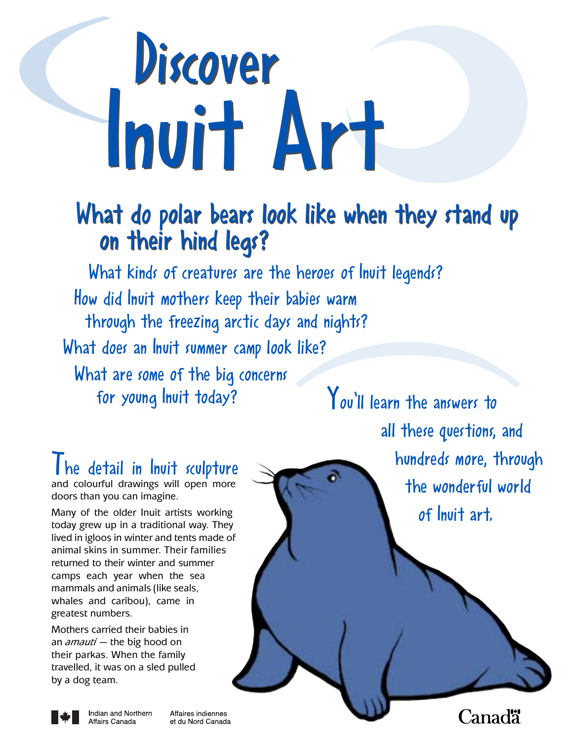# Discover Inuit Art Inuit Art **)**

## What do polar bears look like when they stand up What do polar bears look like when they stand up on their hind legs? on their hind legs?

What kinds of creatures are the heroes of Inuit legends? How did Inuit mothers keep their babies warm through the freezing arctic days and nights? What does an Inuit summer camp look like? What are some of the big concerns for young Inuit today?<br>You'll learn the answers to **)**

I he detail in Inuit sculpture and colourful drawings will open more doors than you can imagine.

Many of the older Inuit artists working today grew up in a traditional way. They lived in igloos in winter and tents made of animal skins in summer. Their families returned to their winter and summer camps each year when the sea mammals and animals (like seals, whales and caribou), came in greatest numbers.

Mothers carried their babies in an *amauti —* the big hood on their parkas. When the family travelled, it was on a sled pulled by a dog team.

Affairs Canada

all these questions, and hundreds more, through the wonderful world of Inuit art.



Affaires indiennes Indian and Northern et du Nord Canada **Canadä**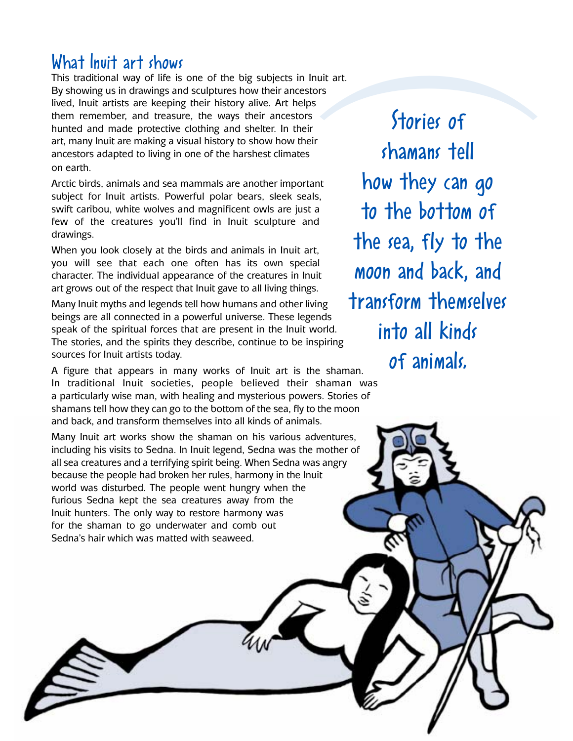## What Inuit art shows

This traditional way of life is one of the big subjects in Inuit art. By showing us in drawings and sculptures how their ancestors lived, Inuit artists are keeping their history alive. Art helps them remember, and treasure, the ways their ancestors hunted and made protective clothing and shelter. In their art, many Inuit are making a visual history to show how their ancestors adapted to living in one of the harshest climates on earth.

Arctic birds, animals and sea mammals are another important subject for Inuit artists. Powerful polar bears, sleek seals, swift caribou, white wolves and magnificent owls are just a few of the creatures you'll find in Inuit sculpture and drawings.

When you look closely at the birds and animals in Inuit art, you will see that each one often has its own special character. The individual appearance of the creatures in Inuit art grows out of the respect that Inuit gave to all living things.

Many Inuit myths and legends tell how humans and other living beings are all connected in a powerful universe. These legends speak of the spiritual forces that are present in the Inuit world. The stories, and the spirits they describe, continue to be inspiring sources for Inuit artists today.

A figure that appears in many works of Inuit art is the shaman. In traditional Inuit societies, people believed their shaman was a particularly wise man, with healing and mysterious powers. Stories of shamans tell how they can go to the bottom of the sea, fly to the moon and back, and transform themselves into all kinds of animals.

Many Inuit art works show the shaman on his various adventures, including his visits to Sedna. In Inuit legend, Sedna was the mother of all sea creatures and a terrifying spirit being. When Sedna was angry because the people had broken her rules, harmony in the Inuit world was disturbed. The people went hungry when the furious Sedna kept the sea creatures away from the Inuit hunters. The only way to restore harmony was for the shaman to go underwater and comb out Sedna's hair which was matted with seaweed.

Stories of**)** shamans tell how they can go to the bottom of the sea, fly to the moon and back, and transform themselves into all kinds of animals.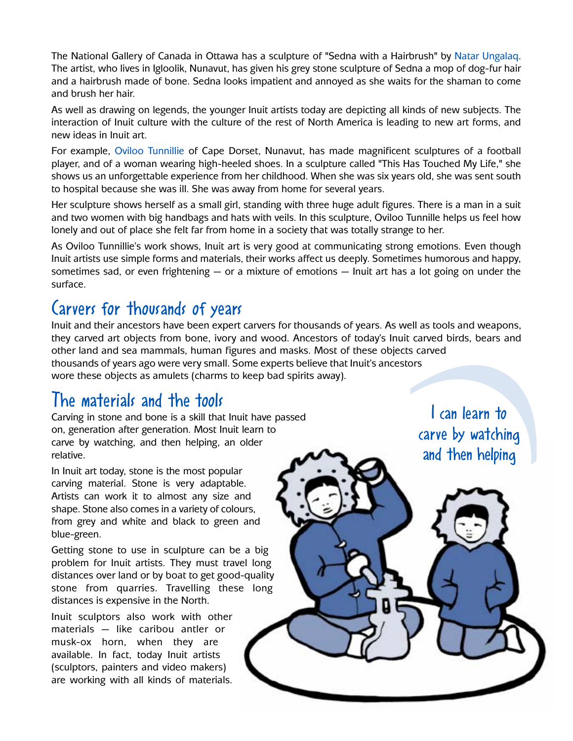The National Gallery of Canada in Ottawa has a sculpture of "Sedna with a Hairbrush" by Natar Ungalaq. The artist, who lives in Igloolik, Nunavut, has given his grey stone sculpture of Sedna a mop of dog-fur hair and a hairbrush made of bone. Sedna looks impatient and annoyed as she waits for the shaman to come and brush her hair.

As well as drawing on legends, the younger Inuit artists today are depicting all kinds of new subjects. The interaction of Inuit culture with the culture of the rest of North America is leading to new art forms, and new ideas in Inuit art.

For example, Oviloo Tunnillie of Cape Dorset, Nunavut, has made magnificent sculptures of a football player, and of a woman wearing high-heeled shoes. In a sculpture called "This Has Touched My Life," she shows us an unforgettable experience from her childhood. When she was six years old, she was sent south to hospital because she was ill. She was away from home for several years.

Her sculpture shows herself as a small girl, standing with three huge adult figures. There is a man in a suit and two women with big handbags and hats with veils. In this sculpture, Oviloo Tunnille helps us feel how lonely and out of place she felt far from home in a society that was totally strange to her.

As Oviloo Tunnillie's work shows, Inuit art is very good at communicating strong emotions. Even though Inuit artists use simple forms and materials, their works affect us deeply. Sometimes humorous and happy, sometimes sad, or even frightening  $-$  or a mixture of emotions  $-$  lnuit art has a lot going on under the surface.

## Carvers for thousands of years

Inuit and their ancestors have been expert carvers for thousands of years. As well as tools and weapons, they carved art objects from bone, ivory and wood. Ancestors of today's Inuit carved birds, bears and other land and sea mammals, human figures and masks. Most of these objects carved thousands of years ago were very small. Some experts believe that Inuit's ancestors wore these objects as amulets (charms to keep bad spirits away).

## The materials and the tools

Carving in stone and bone is a skill that Inuit have passed on, generation after generation. Most Inuit learn to carve by watching, and then helping, an older relative.

In Inuit art today, stone is the most popular carving material. Stone is very adaptable. Artists can work it to almost any size and shape. Stone also comes in a variety of colours, from grey and white and black to green and blue-green.

Getting stone to use in sculpture can be a big problem for Inuit artists. They must travel long distances over land or by boat to get good-quality stone from quarries. Travelling these long distances is expensive in the North.

Inuit sculptors also work with other materials — like caribou antler or musk-ox horn, when they are available. In fact, today Inuit artists (sculptors, painters and video makers) are working with all kinds of materials.

Examples and scarved ors<br>
scarved<br>
ors<br> **1** can learn to<br>
carve by watching<br>
and then helping I can learn to carve by watching and then helping